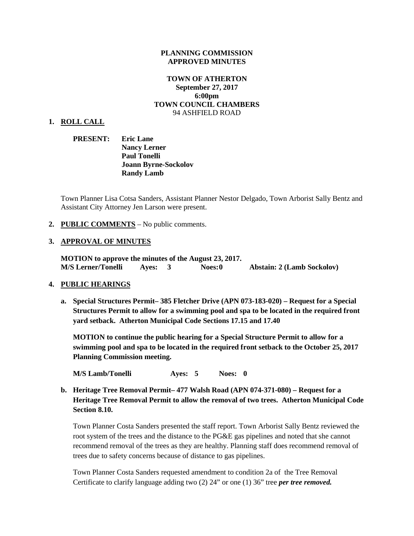#### **PLANNING COMMISSION APPROVED MINUTES**

### **TOWN OF ATHERTON September 27, 2017 6:00pm TOWN COUNCIL CHAMBERS** 94 ASHFIELD ROAD

#### **1. ROLL CALL**

**PRESENT: Eric Lane Nancy Lerner Paul Tonelli Joann Byrne-Sockolov Randy Lamb**

Town Planner Lisa Cotsa Sanders, Assistant Planner Nestor Delgado, Town Arborist Sally Bentz and Assistant City Attorney Jen Larson were present.

### **2. PUBLIC COMMENTS** – No public comments.

### **3. APPROVAL OF MINUTES**

**MOTION to approve the minutes of the August 23, 2017. M/S Lerner/Tonelli Ayes: 3 Noes:0 Abstain: 2 (Lamb Sockolov)**

#### **4. PUBLIC HEARINGS**

**a. Special Structures Permit– 385 Fletcher Drive (APN 073-183-020) – Request for a Special Structures Permit to allow for a swimming pool and spa to be located in the required front yard setback. Atherton Municipal Code Sections 17.15 and 17.40**

**MOTION to continue the public hearing for a Special Structure Permit to allow for a swimming pool and spa to be located in the required front setback to the October 25, 2017 Planning Commission meeting.**

**M/S Lamb/Tonelli Ayes: 5 Noes: 0**

**b. Heritage Tree Removal Permit– 477 Walsh Road (APN 074-371-080) – Request for a Heritage Tree Removal Permit to allow the removal of two trees. Atherton Municipal Code Section 8.10.**

Town Planner Costa Sanders presented the staff report. Town Arborist Sally Bentz reviewed the root system of the trees and the distance to the PG&E gas pipelines and noted that she cannot recommend removal of the trees as they are healthy. Planning staff does recommend removal of trees due to safety concerns because of distance to gas pipelines.

Town Planner Costa Sanders requested amendment to condition 2a of the Tree Removal Certificate to clarify language adding two (2) 24" or one (1) 36" tree *per tree removed.*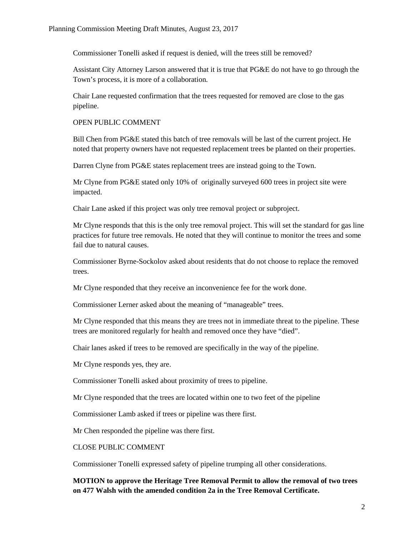Commissioner Tonelli asked if request is denied, will the trees still be removed?

Assistant City Attorney Larson answered that it is true that PG&E do not have to go through the Town's process, it is more of a collaboration.

Chair Lane requested confirmation that the trees requested for removed are close to the gas pipeline.

### OPEN PUBLIC COMMENT

Bill Chen from PG&E stated this batch of tree removals will be last of the current project. He noted that property owners have not requested replacement trees be planted on their properties.

Darren Clyne from PG&E states replacement trees are instead going to the Town.

Mr Clyne from PG&E stated only 10% of originally surveyed 600 trees in project site were impacted.

Chair Lane asked if this project was only tree removal project or subproject.

Mr Clyne responds that this is the only tree removal project. This will set the standard for gas line practices for future tree removals. He noted that they will continue to monitor the trees and some fail due to natural causes.

Commissioner Byrne-Sockolov asked about residents that do not choose to replace the removed trees.

Mr Clyne responded that they receive an inconvenience fee for the work done.

Commissioner Lerner asked about the meaning of "manageable" trees.

Mr Clyne responded that this means they are trees not in immediate threat to the pipeline. These trees are monitored regularly for health and removed once they have "died".

Chair lanes asked if trees to be removed are specifically in the way of the pipeline.

Mr Clyne responds yes, they are.

Commissioner Tonelli asked about proximity of trees to pipeline.

Mr Clyne responded that the trees are located within one to two feet of the pipeline

Commissioner Lamb asked if trees or pipeline was there first.

Mr Chen responded the pipeline was there first.

CLOSE PUBLIC COMMENT

Commissioner Tonelli expressed safety of pipeline trumping all other considerations.

**MOTION to approve the Heritage Tree Removal Permit to allow the removal of two trees on 477 Walsh with the amended condition 2a in the Tree Removal Certificate.**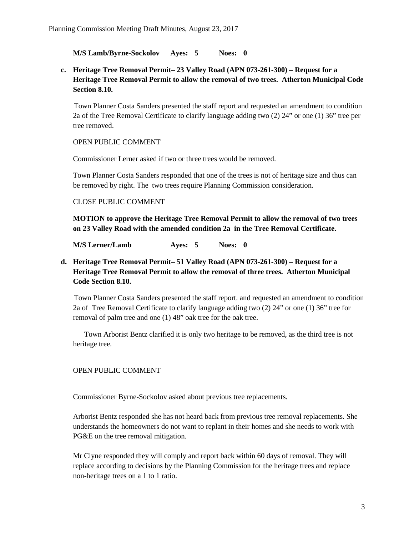**M/S Lamb/Byrne-Sockolov Ayes: 5 Noes: 0**

**c. Heritage Tree Removal Permit– 23 Valley Road (APN 073-261-300) – Request for a Heritage Tree Removal Permit to allow the removal of two trees. Atherton Municipal Code Section 8.10.**

Town Planner Costa Sanders presented the staff report and requested an amendment to condition 2a of the Tree Removal Certificate to clarify language adding two (2) 24" or one (1) 36" tree per tree removed.

## OPEN PUBLIC COMMENT

Commissioner Lerner asked if two or three trees would be removed.

Town Planner Costa Sanders responded that one of the trees is not of heritage size and thus can be removed by right. The two trees require Planning Commission consideration.

### CLOSE PUBLIC COMMENT

**MOTION to approve the Heritage Tree Removal Permit to allow the removal of two trees on 23 Valley Road with the amended condition 2a in the Tree Removal Certificate.**

**M/S Lerner/Lamb Ayes: 5 Noes: 0**

# **d. Heritage Tree Removal Permit– 51 Valley Road (APN 073-261-300) – Request for a Heritage Tree Removal Permit to allow the removal of three trees. Atherton Municipal Code Section 8.10.**

Town Planner Costa Sanders presented the staff report. and requested an amendment to condition 2a of Tree Removal Certificate to clarify language adding two (2) 24" or one (1) 36" tree for removal of palm tree and one (1) 48" oak tree for the oak tree.

 Town Arborist Bentz clarified it is only two heritage to be removed, as the third tree is not heritage tree.

# OPEN PUBLIC COMMENT

Commissioner Byrne-Sockolov asked about previous tree replacements.

Arborist Bentz responded she has not heard back from previous tree removal replacements. She understands the homeowners do not want to replant in their homes and she needs to work with PG&E on the tree removal mitigation.

Mr Clyne responded they will comply and report back within 60 days of removal. They will replace according to decisions by the Planning Commission for the heritage trees and replace non-heritage trees on a 1 to 1 ratio.